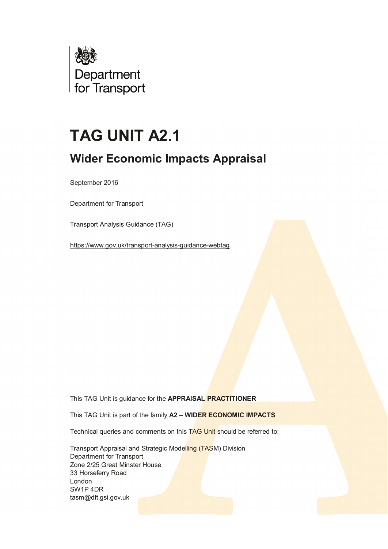

# **TAG UNIT A2.1**

## **Wider Economic Impacts Appraisal**

September 2016

Department for Transport

Transport Analysis Guidance (TAG)

<https://www.gov.uk/transport-analysis-guidance-webtag>

This TAG Unit is guidance for the **APPRAISAL PRACTITIONER**

This TAG Unit is part of the family **A2 – WIDER ECONOMIC IMPACTS**

Technical queries and comments on this TAG Unit should be referred to:

 Transport Appraisal and Strategic Modelling (TASM) Division Department for Transport Zone 2/25 Great Minster House 33 Horseferry Road London SW1P 4DR [tasm@dft.gsi.gov.uk](mailto:tasm@dft.gsi.gov.uk)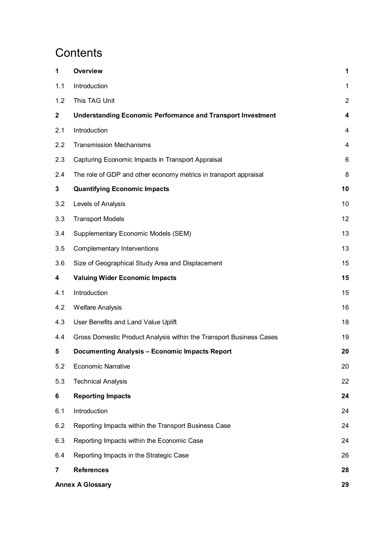## **Contents**

| 1                       | <b>Overview</b>                                                     | 1                |
|-------------------------|---------------------------------------------------------------------|------------------|
| 1.1                     | Introduction                                                        | 1                |
| 1.2                     | This TAG Unit                                                       | $\overline{2}$   |
| $\mathbf{2}$            | <b>Understanding Economic Performance and Transport Investment</b>  | $\boldsymbol{4}$ |
| 2.1                     | Introduction                                                        | 4                |
| 2.2                     | <b>Transmission Mechanisms</b>                                      | $\overline{4}$   |
| 2.3                     | Capturing Economic Impacts in Transport Appraisal                   | 6                |
| 2.4                     | The role of GDP and other economy metrics in transport appraisal    | 8                |
| $\mathbf{3}$            | <b>Quantifying Economic Impacts</b>                                 | 10               |
| 3.2                     | Levels of Analysis                                                  | 10               |
| 3.3                     | <b>Transport Models</b>                                             | 12               |
| 3.4                     | Supplementary Economic Models (SEM)                                 | 13               |
| 3.5                     | Complementary Interventions                                         | 13               |
| 3.6                     | Size of Geographical Study Area and Displacement                    | 15               |
| 4                       | <b>Valuing Wider Economic Impacts</b>                               | 15               |
| 4.1                     | Introduction                                                        | 15               |
| 4.2                     | <b>Welfare Analysis</b>                                             | 16               |
| 4.3                     | User Benefits and Land Value Uplift                                 | 18               |
| 4.4                     | Gross Domestic Product Analysis within the Transport Business Cases | 19               |
| 5                       | <b>Documenting Analysis - Economic Impacts Report</b>               | 20               |
| 5.2                     | <b>Economic Narrative</b>                                           | 20               |
| 5.3                     | <b>Technical Analysis</b>                                           | 22               |
| 6                       | <b>Reporting Impacts</b>                                            | 24               |
| 6.1                     | Introduction                                                        | 24               |
| 6.2                     | Reporting Impacts within the Transport Business Case                | 24               |
| 6.3                     | Reporting Impacts within the Economic Case                          | 24               |
| 6.4                     | Reporting Impacts in the Strategic Case                             | 26               |
| 7                       | <b>References</b>                                                   | 28               |
| <b>Annex A Glossary</b> |                                                                     |                  |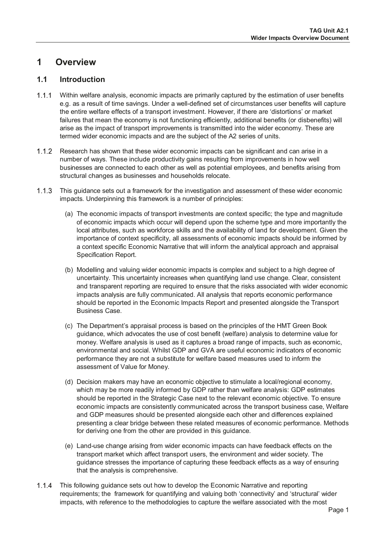## <span id="page-2-0"></span>**1 Overview**

## <span id="page-2-1"></span>**1.1 Introduction**

- Within welfare analysis, economic impacts are primarily captured by the estimation of user benefits e.g. as a result of time savings. Under a well-defined set of circumstances user benefits will capture the entire welfare effects of a transport investment. However, if there are 'distortions' or market failures that mean the economy is not functioning efficiently, additional benefits (or disbenefits) will arise as the impact of transport improvements is transmitted into the wider economy. These are termed wider economic impacts and are the subject of the A2 series of units.
- 1.1.2 Research has shown that these wider economic impacts can be significant and can arise in a number of ways. These include productivity gains resulting from improvements in how well businesses are connected to each other as well as potential employees, and benefits arising from structural changes as businesses and households relocate.
- This guidance sets out a framework for the investigation and assessment of these wider economic impacts. Underpinning this framework is a number of principles:
	- (a) The economic impacts of transport investments are context specific; the type and magnitude of economic impacts which occur will depend upon the scheme type and more importantly the local attributes, such as workforce skills and the availability of land for development. Given the importance of context specificity, all assessments of economic impacts should be informed by a context specific Economic Narrative that will inform the analytical approach and appraisal Specification Report.
	- (b) Modelling and valuing wider economic impacts is complex and subject to a high degree of uncertainty. This uncertainty increases when quantifying land use change. Clear, consistent and transparent reporting are required to ensure that the risks associated with wider economic impacts analysis are fully communicated. All analysis that reports economic performance should be reported in the Economic Impacts Report and presented alongside the Transport Business Case.
	- (c) The Department's appraisal process is based on the principles of the HMT Green Book guidance, which advocates the use of cost benefit (welfare) analysis to determine value for money. Welfare analysis is used as it captures a broad range of impacts, such as economic, environmental and social. Whilst GDP and GVA are useful economic indicators of economic performance they are not a substitute for welfare based measures used to inform the assessment of Value for Money.
	- (d) Decision makers may have an economic objective to stimulate a local/regional economy, which may be more readily informed by GDP rather than welfare analysis: GDP estimates should be reported in the Strategic Case next to the relevant economic objective. To ensure economic impacts are consistently communicated across the transport business case, Welfare and GDP measures should be presented alongside each other and differences explained presenting a clear bridge between these related measures of economic performance. Methods for deriving one from the other are provided in this guidance.
	- (e) Land-use change arising from wider economic impacts can have feedback effects on the transport market which affect transport users, the environment and wider society. The guidance stresses the importance of capturing these feedback effects as a way of ensuring that the analysis is comprehensive.
- 1.1.4 This following guidance sets out how to develop the Economic Narrative and reporting requirements; the framework for quantifying and valuing both 'connectivity' and 'structural' wider impacts, with reference to the methodologies to capture the welfare associated with the most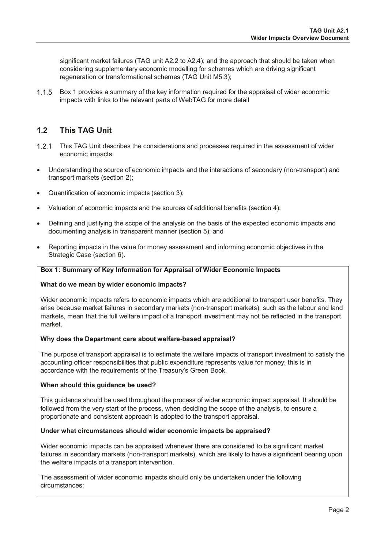significant market failures (TAG unit A2.2 to A2.4); and the approach that should be taken when considering supplementary economic modelling for schemes which are driving significant regeneration or transformational schemes (TAG Unit M5.3);

1.1.5 Box 1 provides a summary of the key information required for the appraisal of wider economic impacts with links to the relevant parts of WebTAG for more detail

## <span id="page-3-0"></span>**1.2 This TAG Unit**

- 1.2.1 This TAG Unit describes the considerations and processes required in the assessment of wider economic impacts:
- Understanding the source of economic impacts and the interactions of secondary (non-transport) and transport markets (section 2);
- Quantification of economic impacts (section 3);
- Valuation of economic impacts and the sources of additional benefits (section 4);
- Defining and justifying the scope of the analysis on the basis of the expected economic impacts and documenting analysis in transparent manner (section 5); and
- Reporting impacts in the value for money assessment and informing economic objectives in the Strategic Case (section 6).

#### **Box 1: Summary of Key Information for Appraisal of Wider Economic Impacts**

#### **What do we mean by wider economic impacts?**

Wider economic impacts refers to economic impacts which are additional to transport user benefits. They arise because market failures in secondary markets (non-transport markets), such as the labour and land markets, mean that the full welfare impact of a transport investment may not be reflected in the transport market.

#### **Why does the Department care about welfare-based appraisal?**

The purpose of transport appraisal is to estimate the welfare impacts of transport investment to satisfy the accounting officer responsibilities that public expenditure represents value for money; this is in accordance with the requirements of the Treasury's Green Book.

#### **When should this guidance be used?**

This guidance should be used throughout the process of wider economic impact appraisal. It should be followed from the very start of the process, when deciding the scope of the analysis, to ensure a proportionate and consistent approach is adopted to the transport appraisal.

#### **Under what circumstances should wider economic impacts be appraised?**

Wider economic impacts can be appraised whenever there are considered to be significant market failures in secondary markets (non-transport markets), which are likely to have a significant bearing upon the welfare impacts of a transport intervention.

The assessment of wider economic impacts should only be undertaken under the following circumstances: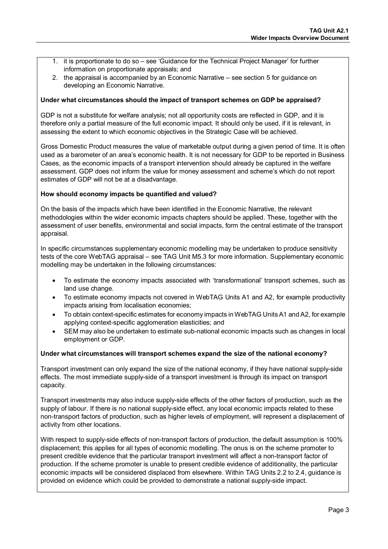- 1. it is proportionate to do so see 'Guidance for the Technical Project Manager' for further information on proportionate appraisals; and
- 2. the appraisal is accompanied by an Economic Narrative see section 5 for guidance on developing an Economic Narrative.

#### **Under what circumstances should the impact of transport schemes on GDP be appraised?**

GDP is not a substitute for welfare analysis; not all opportunity costs are reflected in GDP, and it is therefore only a partial measure of the full economic impact. It should only be used, if it is relevant, in assessing the extent to which economic objectives in the Strategic Case will be achieved.

Gross Domestic Product measures the value of marketable output during a given period of time. It is often used as a barometer of an area's economic health. It is not necessary for GDP to be reported in Business Cases, as the economic impacts of a transport intervention should already be captured in the welfare assessment. GDP does not inform the value for money assessment and scheme's which do not report estimates of GDP will not be at a disadvantage.

#### **How should economy impacts be quantified and valued?**

On the basis of the impacts which have been identified in the Economic Narrative, the relevant methodologies within the wider economic impacts chapters should be applied. These, together with the assessment of user benefits, environmental and social impacts, form the central estimate of the transport appraisal.

In specific circumstances supplementary economic modelling may be undertaken to produce sensitivity tests of the core WebTAG appraisal – see TAG Unit M5.3 for more information. Supplementary economic modelling may be undertaken in the following circumstances:

- To estimate the economy impacts associated with 'transformational' transport schemes, such as land use change.
- To estimate economy impacts not covered in WebTAG Units A1 and A2, for example productivity impacts arising from localisation economies;
- To obtain context-specific estimates for economy impacts in WebTAG Units A1 and A2, for example applying context-specific agglomeration elasticities; and
- SEM may also be undertaken to estimate sub-national economic impacts such as changes in local employment or GDP.

#### **Under what circumstances will transport schemes expand the size of the national economy?**

Transport investment can only expand the size of the national economy, if they have national supply-side effects. The most immediate supply-side of a transport investment is through its impact on transport capacity.

Transport investments may also induce supply-side effects of the other factors of production, such as the supply of labour. If there is no national supply-side effect, any local economic impacts related to these non-transport factors of production, such as higher levels of employment, will represent a displacement of activity from other locations.

With respect to supply-side effects of non-transport factors of production, the default assumption is 100% displacement; this applies for all types of economic modelling. The onus is on the scheme promoter to present credible evidence that the particular transport investment will affect a non-transport factor of production. If the scheme promoter is unable to present credible evidence of additionality, the particular economic impacts will be considered displaced from elsewhere. Within TAG Units 2.2 to 2.4, guidance is provided on evidence which could be provided to demonstrate a national supply-side impact.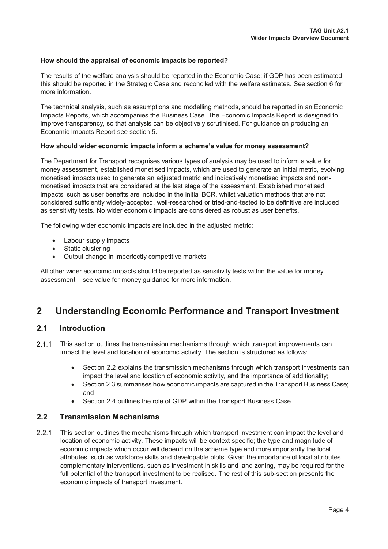#### **How should the appraisal of economic impacts be reported?**

The results of the welfare analysis should be reported in the Economic Case; if GDP has been estimated this should be reported in the Strategic Case and reconciled with the welfare estimates. See section 6 for more information.

The technical analysis, such as assumptions and modelling methods, should be reported in an Economic Impacts Reports, which accompanies the Business Case. The Economic Impacts Report is designed to improve transparency, so that analysis can be objectively scrutinised. For guidance on producing an Economic Impacts Report see section 5.

#### **How should wider economic impacts inform a scheme's value for money assessment?**

The Department for Transport recognises various types of analysis may be used to inform a value for money assessment, established monetised impacts, which are used to generate an initial metric, evolving monetised impacts used to generate an adjusted metric and indicatively monetised impacts and nonmonetised impacts that are considered at the last stage of the assessment. Established monetised impacts, such as user benefits are included in the initial BCR, whilst valuation methods that are not considered sufficiently widely-accepted, well-researched or tried-and-tested to be definitive are included as sensitivity tests. No wider economic impacts are considered as robust as user benefits.

The following wider economic impacts are included in the adjusted metric:

- Labour supply impacts
- Static clustering
- Output change in imperfectly competitive markets

All other wider economic impacts should be reported as sensitivity tests within the value for money assessment – see value for money guidance for more information.

## <span id="page-5-0"></span>**2 Understanding Economic Performance and Transport Investment**

#### <span id="page-5-1"></span>**2.1 Introduction**

- 2.1.1 This section outlines the transmission mechanisms through which transport improvements can impact the level and location of economic activity. The section is structured as follows:
	- Section 2.2 explains the transmission mechanisms through which transport investments can impact the level and location of economic activity, and the importance of additionality;
	- Section 2.3 summarises how economic impacts are captured in the Transport Business Case; and
	- Section 2.4 outlines the role of GDP within the Transport Business Case

#### <span id="page-5-2"></span>**2.2 Transmission Mechanisms**

2.2.1 This section outlines the mechanisms through which transport investment can impact the level and location of economic activity. These impacts will be context specific; the type and magnitude of economic impacts which occur will depend on the scheme type and more importantly the local attributes, such as workforce skills and developable plots. Given the importance of local attributes, complementary interventions, such as investment in skills and land zoning, may be required for the full potential of the transport investment to be realised. The rest of this sub-section presents the economic impacts of transport investment.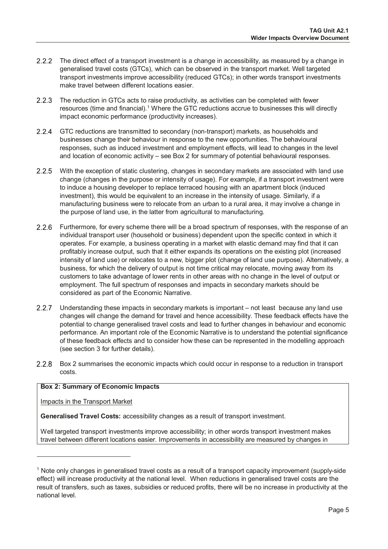- 2.2.2 The direct effect of a transport investment is a change in accessibility, as measured by a change in generalised travel costs (GTCs), which can be observed in the transport market. Well targeted transport investments improve accessibility (reduced GTCs); in other words transport investments make travel between different locations easier.
- 2.2.3 The reduction in GTCs acts to raise productivity, as activities can be completed with fewer resources (time and financial).<sup>1</sup> Where the GTC reductions accrue to businesses this will directly impact economic performance (productivity increases).
- 2.2.4 GTC reductions are transmitted to secondary (non-transport) markets, as households and businesses change their behaviour in response to the new opportunities. The behavioural responses, such as induced investment and employment effects, will lead to changes in the level and location of economic activity – see Box 2 for summary of potential behavioural responses.
- 2.2.5 With the exception of static clustering, changes in secondary markets are associated with land use change (changes in the purpose or intensity of usage). For example, if a transport investment were to induce a housing developer to replace terraced housing with an apartment block (induced investment), this would be equivalent to an increase in the intensity of usage. Similarly, if a manufacturing business were to relocate from an urban to a rural area, it may involve a change in the purpose of land use, in the latter from agricultural to manufacturing.
- 2.2.6 Furthermore, for every scheme there will be a broad spectrum of responses, with the response of an individual transport user (household or business) dependent upon the specific context in which it operates. For example, a business operating in a market with elastic demand may find that it can profitably increase output, such that it either expands its operations on the existing plot (increased intensity of land use) or relocates to a new, bigger plot (change of land use purpose). Alternatively, a business, for which the delivery of output is not time critical may relocate, moving away from its customers to take advantage of lower rents in other areas with no change in the level of output or employment. The full spectrum of responses and impacts in secondary markets should be considered as part of the Economic Narrative.
- 2.2.7 Understanding these impacts in secondary markets is important not least because any land use changes will change the demand for travel and hence accessibility. These feedback effects have the potential to change generalised travel costs and lead to further changes in behaviour and economic performance. An important role of the Economic Narrative is to understand the potential significance of these feedback effects and to consider how these can be represented in the modelling approach (see section 3 for further details).
- 2.2.8 Box 2 summarises the economic impacts which could occur in response to a reduction in transport costs.

#### **Box 2: Summary of Economic Impacts**

Impacts in the Transport Market

 $\overline{a}$ 

**Generalised Travel Costs:** accessibility changes as a result of transport investment.

Well targeted transport investments improve accessibility; in other words transport investment makes travel between different locations easier. Improvements in accessibility are measured by changes in

<span id="page-6-0"></span><sup>&</sup>lt;sup>1</sup> Note only changes in generalised travel costs as a result of a transport capacity improvement (supply-side effect) will increase productivity at the national level. When reductions in generalised travel costs are the result of transfers, such as taxes, subsidies or reduced profits, there will be no increase in productivity at the national level.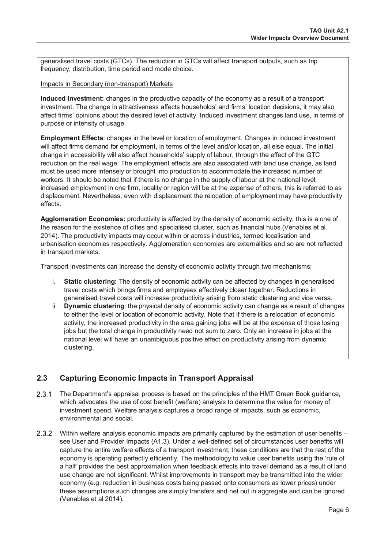generalised travel costs (GTCs). The reduction in GTCs will affect transport outputs, such as trip frequency, distribution, time period and mode choice.

Impacts in Secondary (non-transport) Markets

**Induced Investment:** changes in the productive capacity of the economy as a result of a transport investment. The change in attractiveness affects households' and firms' location decisions, it may also affect firms' opinions about the desired level of activity. Induced Investment changes land use, in terms of purpose or intensity of usage.

**Employment Effects**: changes in the level or location of employment. Changes in induced investment will affect firms demand for employment, in terms of the level and/or location, all else equal. The initial change in accessibility will also affect households' supply of labour, through the effect of the GTC reduction on the real wage. The employment effects are also associated with land use change, as land must be used more intensely or brought into production to accommodate the increased number of workers. It should be noted that if there is no change in the supply of labour at the national level, increased employment in one firm, locality or region will be at the expense of others; this is referred to as displacement. Nevertheless, even with displacement the relocation of employment may have productivity effects.

**Agglomeration Economies:** productivity is affected by the density of economic activity; this is a one of the reason for the existence of cities and specialised cluster, such as financial hubs (Venables et al. 2014). The productivity impacts may occur within or across industries, termed localisation and urbanisation economies respectively. Agglomeration economies are externalities and so are not reflected in transport markets.

Transport investments can increase the density of economic activity through two mechanisms:

- i. **Static clustering:** The density of economic activity can be affected by changes in generalised travel costs which brings firms and employees effectively closer together. Reductions in generalised travel costs will increase productivity arising from static clustering and vice versa.
- ii. **Dynamic clustering**: the physical density of economic activity can change as a result of changes to either the level or location of economic activity. Note that if there is a relocation of economic activity, the increased productivity in the area gaining jobs will be at the expense of those losing jobs but the total change in productivity need not sum to zero. Only an increase in jobs at the national level will have an unambiguous positive effect on productivity arising from dynamic clustering.

## <span id="page-7-0"></span>**2.3 Capturing Economic Impacts in Transport Appraisal**

- 2.3.1 The Department's appraisal process is based on the principles of the HMT Green Book guidance, which advocates the use of cost benefit (welfare) analysis to determine the value for money of investment spend. Welfare analysis captures a broad range of impacts, such as economic, environmental and social.
- 2.3.2 Within welfare analysis economic impacts are primarily captured by the estimation of user benefits see User and Provider Impacts (A1.3). Under a well-defined set of circumstances user benefits will capture the entire welfare effects of a transport investment; these conditions are that the rest of the economy is operating perfectly efficiently. The methodology to value user benefits using the 'rule of a half' provides the best approximation when feedback effects into travel demand as a result of land use change are not significant. Whilst improvements in transport may be transmitted into the wider economy (e.g. reduction in business costs being passed onto consumers as lower prices) under these assumptions such changes are simply transfers and net out in aggregate and can be ignored (Venables et al 2014).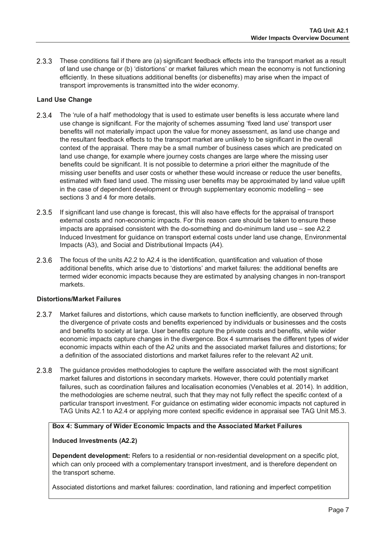2.3.3 These conditions fail if there are (a) significant feedback effects into the transport market as a result of land use change or (b) 'distortions' or market failures which mean the economy is not functioning efficiently. In these situations additional benefits (or disbenefits) may arise when the impact of transport improvements is transmitted into the wider economy.

#### **Land Use Change**

- 2.3.4 The 'rule of a half' methodology that is used to estimate user benefits is less accurate where land use change is significant. For the majority of schemes assuming 'fixed land use' transport user benefits will not materially impact upon the value for money assessment, as land use change and the resultant feedback effects to the transport market are unlikely to be significant in the overall context of the appraisal. There may be a small number of business cases which are predicated on land use change, for example where journey costs changes are large where the missing user benefits could be significant. It is not possible to determine a priori either the magnitude of the missing user benefits and user costs or whether these would increase or reduce the user benefits, estimated with fixed land used. The missing user benefits may be approximated by land value uplift in the case of dependent development or through supplementary economic modelling – see sections 3 and 4 for more details.
- 2.3.5 If significant land use change is forecast, this will also have effects for the appraisal of transport external costs and non-economic impacts. For this reason care should be taken to ensure these impacts are appraised consistent with the do-something and do-minimum land use – see A2.2 Induced Investment for guidance on transport external costs under land use change, Environmental Impacts (A3), and Social and Distributional Impacts (A4).
- 2.3.6 The focus of the units A2.2 to A2.4 is the identification, quantification and valuation of those additional benefits, which arise due to 'distortions' and market failures: the additional benefits are termed wider economic impacts because they are estimated by analysing changes in non-transport markets.

#### **Distortions/Market Failures**

- 2.3.7 Market failures and distortions, which cause markets to function inefficiently, are observed through the divergence of private costs and benefits experienced by individuals or businesses and the costs and benefits to society at large. User benefits capture the private costs and benefits, while wider economic impacts capture changes in the divergence. Box 4 summarises the different types of wider economic impacts within each of the A2 units and the associated market failures and distortions; for a definition of the associated distortions and market failures refer to the relevant A2 unit.
- 2.3.8 The guidance provides methodologies to capture the welfare associated with the most significant market failures and distortions in secondary markets. However, there could potentially market failures, such as coordination failures and localisation economies (Venables et al. 2014). In addition, the methodologies are scheme neutral, such that they may not fully reflect the specific context of a particular transport investment. For guidance on estimating wider economic impacts not captured in TAG Units A2.1 to A2.4 or applying more context specific evidence in appraisal see TAG Unit M5.3.

#### **Box 4: Summary of Wider Economic Impacts and the Associated Market Failures**

#### **Induced Investments (A2.2)**

**Dependent development:** Refers to a residential or non-residential development on a specific plot, which can only proceed with a complementary transport investment, and is therefore dependent on the transport scheme.

Associated distortions and market failures: coordination, land rationing and imperfect competition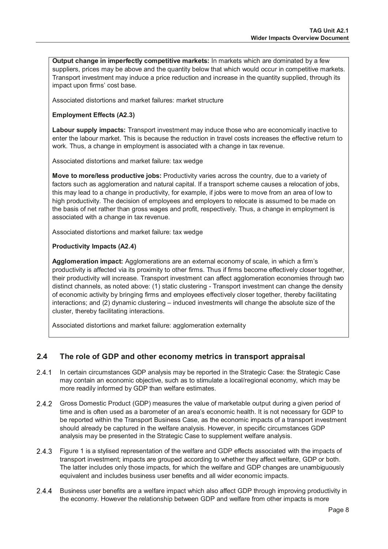**Output change in imperfectly competitive markets:** In markets which are dominated by a few suppliers, prices may be above and the quantity below that which would occur in competitive markets. Transport investment may induce a price reduction and increase in the quantity supplied, through its impact upon firms' cost base.

Associated distortions and market failures: market structure

#### **Employment Effects (A2.3)**

**Labour supply impacts:** Transport investment may induce those who are economically inactive to enter the labour market. This is because the reduction in travel costs increases the effective return to work. Thus, a change in employment is associated with a change in tax revenue.

Associated distortions and market failure: tax wedge

**Move to more/less productive jobs:** Productivity varies across the country, due to a variety of factors such as agglomeration and natural capital. If a transport scheme causes a relocation of jobs, this may lead to a change in productivity, for example, if jobs were to move from an area of low to high productivity. The decision of employees and employers to relocate is assumed to be made on the basis of net rather than gross wages and profit, respectively. Thus, a change in employment is associated with a change in tax revenue.

Associated distortions and market failure: tax wedge

#### **Productivity Impacts (A2.4)**

**Agglomeration impact:** Agglomerations are an external economy of scale, in which a firm's productivity is affected via its proximity to other firms. Thus if firms become effectively closer together, their productivity will increase. Transport investment can affect agglomeration economies through two distinct channels, as noted above: (1) static clustering - Transport investment can change the density of economic activity by bringing firms and employees effectively closer together, thereby facilitating interactions; and (2) dynamic clustering – induced investments will change the absolute size of the cluster, thereby facilitating interactions.

Associated distortions and market failure: agglomeration externality

## <span id="page-9-0"></span>**2.4 The role of GDP and other economy metrics in transport appraisal**

- 2.4.1 In certain circumstances GDP analysis may be reported in the Strategic Case: the Strategic Case may contain an economic objective, such as to stimulate a local/regional economy, which may be more readily informed by GDP than welfare estimates.
- 2.4.2 Gross Domestic Product (GDP) measures the value of marketable output during a given period of time and is often used as a barometer of an area's economic health. It is not necessary for GDP to be reported within the Transport Business Case, as the economic impacts of a transport investment should already be captured in the welfare analysis. However, in specific circumstances GDP analysis may be presented in the Strategic Case to supplement welfare analysis.
- 2.4.3 Figure 1 is a stylised representation of the welfare and GDP effects associated with the impacts of transport investment; impacts are grouped according to whether they affect welfare, GDP or both. The latter includes only those impacts, for which the welfare and GDP changes are unambiguously equivalent and includes business user benefits and all wider economic impacts.
- 2.4.4 Business user benefits are a welfare impact which also affect GDP through improving productivity in the economy. However the relationship between GDP and welfare from other impacts is more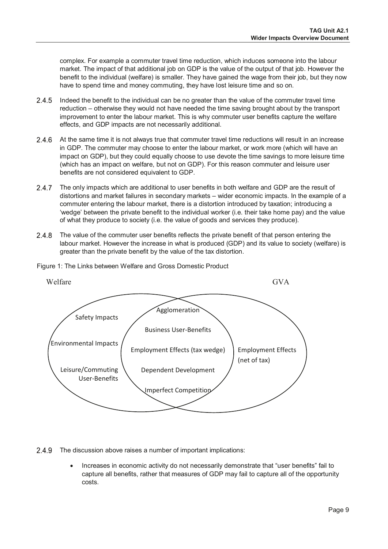complex. For example a commuter travel time reduction, which induces someone into the labour market. The impact of that additional job on GDP is the value of the output of that job. However the benefit to the individual (welfare) is smaller. They have gained the wage from their job, but they now have to spend time and money commuting, they have lost leisure time and so on.

- 2.4.5 Indeed the benefit to the individual can be no greater than the value of the commuter travel time reduction – otherwise they would not have needed the time saving brought about by the transport improvement to enter the labour market. This is why commuter user benefits capture the welfare effects, and GDP impacts are not necessarily additional.
- 2.4.6 At the same time it is not always true that commuter travel time reductions will result in an increase in GDP. The commuter may choose to enter the labour market, or work more (which will have an impact on GDP), but they could equally choose to use devote the time savings to more leisure time (which has an impact on welfare, but not on GDP). For this reason commuter and leisure user benefits are not considered equivalent to GDP.
- 2.4.7 The only impacts which are additional to user benefits in both welfare and GDP are the result of distortions and market failures in secondary markets – wider economic impacts. In the example of a commuter entering the labour market, there is a distortion introduced by taxation; introducing a 'wedge' between the private benefit to the individual worker (i.e. their take home pay) and the value of what they produce to society (i.e. the value of goods and services they produce).
- 2.4.8 The value of the commuter user benefits reflects the private benefit of that person entering the labour market. However the increase in what is produced (GDP) and its value to society (welfare) is greater than the private benefit by the value of the tax distortion.



Figure 1: The Links between Welfare and Gross Domestic Product

2.4.9 The discussion above raises a number of important implications:

Increases in economic activity do not necessarily demonstrate that "user benefits" fail to capture all benefits, rather that measures of GDP may fail to capture all of the opportunity costs.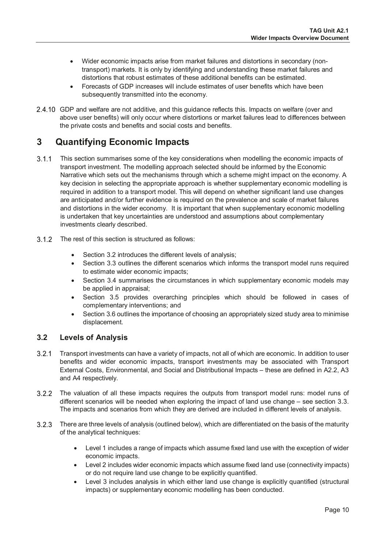- Wider economic impacts arise from market failures and distortions in secondary (nontransport) markets. It is only by identifying and understanding these market failures and distortions that robust estimates of these additional benefits can be estimated.
- Forecasts of GDP increases will include estimates of user benefits which have been subsequently transmitted into the economy.
- 2.4.10 GDP and welfare are not additive, and this guidance reflects this. Impacts on welfare (over and above user benefits) will only occur where distortions or market failures lead to differences between the private costs and benefits and social costs and benefits.

## <span id="page-11-0"></span>**3 Quantifying Economic Impacts**

- 3.1.1 This section summarises some of the key considerations when modelling the economic impacts of transport investment. The modelling approach selected should be informed by the Economic Narrative which sets out the mechanisms through which a scheme might impact on the economy. A key decision in selecting the appropriate approach is whether supplementary economic modelling is required in addition to a transport model. This will depend on whether significant land use changes are anticipated and/or further evidence is required on the prevalence and scale of market failures and distortions in the wider economy. It is important that when supplementary economic modelling is undertaken that key uncertainties are understood and assumptions about complementary investments clearly described.
- 3.1.2 The rest of this section is structured as follows:
	- Section 3.2 introduces the different levels of analysis;
	- Section 3.3 outlines the different scenarios which informs the transport model runs required to estimate wider economic impacts;
	- Section 3.4 summarises the circumstances in which supplementary economic models may be applied in appraisal;
	- Section 3.5 provides overarching principles which should be followed in cases of complementary interventions; and
	- Section 3.6 outlines the importance of choosing an appropriately sized study area to minimise displacement.

## <span id="page-11-1"></span>**3.2 Levels of Analysis**

- 3.2.1 Transport investments can have a variety of impacts, not all of which are economic. In addition to user benefits and wider economic impacts, transport investments may be associated with Transport External Costs, Environmental, and Social and Distributional Impacts – these are defined in A2.2, A3 and A4 respectively.
- The valuation of all these impacts requires the outputs from transport model runs: model runs of different scenarios will be needed when exploring the impact of land use change – see section 3.3. The impacts and scenarios from which they are derived are included in different levels of analysis.
- There are three levels of analysis (outlined below), which are differentiated on the basis of the maturity of the analytical techniques:
	- Level 1 includes a range of impacts which assume fixed land use with the exception of wider economic impacts.
	- Level 2 includes wider economic impacts which assume fixed land use (connectivity impacts) or do not require land use change to be explicitly quantified.
	- Level 3 includes analysis in which either land use change is explicitly quantified (structural impacts) or supplementary economic modelling has been conducted.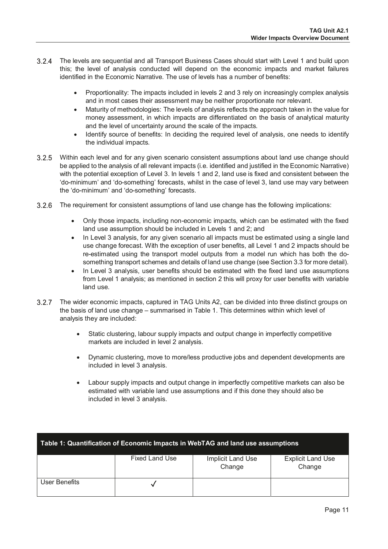- The levels are sequential and all Transport Business Cases should start with Level 1 and build upon this; the level of analysis conducted will depend on the economic impacts and market failures identified in the Economic Narrative. The use of levels has a number of benefits:
	- Proportionality: The impacts included in levels 2 and 3 rely on increasingly complex analysis and in most cases their assessment may be neither proportionate nor relevant.
	- Maturity of methodologies: The levels of analysis reflects the approach taken in the value for money assessment, in which impacts are differentiated on the basis of analytical maturity and the level of uncertainty around the scale of the impacts.
	- Identify source of benefits: In deciding the required level of analysis, one needs to identify the individual impacts.
- Within each level and for any given scenario consistent assumptions about land use change should be applied to the analysis of all relevant impacts (i.e. identified and justified in the Economic Narrative) with the potential exception of Level 3. In levels 1 and 2, land use is fixed and consistent between the 'do-minimum' and 'do-something' forecasts, whilst in the case of level 3, land use may vary between the 'do-minimum' and 'do-something' forecasts.
- 3.2.6 The requirement for consistent assumptions of land use change has the following implications:
	- Only those impacts, including non-economic impacts, which can be estimated with the fixed land use assumption should be included in Levels 1 and 2; and
	- In Level 3 analysis, for any given scenario all impacts must be estimated using a single land use change forecast. With the exception of user benefits, all Level 1 and 2 impacts should be re-estimated using the transport model outputs from a model run which has both the dosomething transport schemes and details of land use change (see Section 3.3 for more detail).
	- In Level 3 analysis, user benefits should be estimated with the fixed land use assumptions from Level 1 analysis; as mentioned in section 2 this will proxy for user benefits with variable land use.
- 3.2.7 The wider economic impacts, captured in TAG Units A2, can be divided into three distinct groups on the basis of land use change – summarised in Table 1. This determines within which level of analysis they are included:
	- Static clustering, labour supply impacts and output change in imperfectly competitive markets are included in level 2 analysis.
	- Dynamic clustering, move to more/less productive jobs and dependent developments are included in level 3 analysis.
	- Labour supply impacts and output change in imperfectly competitive markets can also be estimated with variable land use assumptions and if this done they should also be included in level 3 analysis.

| Table 1: Quantification of Economic Impacts in WebTAG and land use assumptions |                |                             |                                    |
|--------------------------------------------------------------------------------|----------------|-----------------------------|------------------------------------|
|                                                                                | Fixed Land Use | Implicit Land Use<br>Change | <b>Explicit Land Use</b><br>Change |
| User Benefits                                                                  |                |                             |                                    |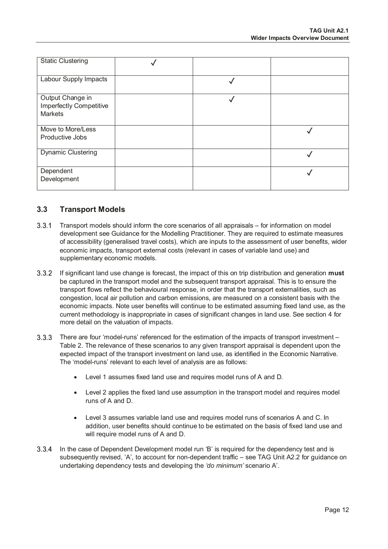| <b>Static Clustering</b>                                      |              |  |
|---------------------------------------------------------------|--------------|--|
| Labour Supply Impacts                                         |              |  |
| Output Change in<br>Imperfectly Competitive<br><b>Markets</b> | $\checkmark$ |  |
| Move to More/Less<br>Productive Jobs                          |              |  |
| <b>Dynamic Clustering</b>                                     |              |  |
| Dependent<br>Development                                      |              |  |

#### <span id="page-13-0"></span>**3.3 Transport Models**

- Transport models should inform the core scenarios of all appraisals for information on model development see Guidance for the Modelling Practitioner. They are required to estimate measures of accessibility (generalised travel costs), which are inputs to the assessment of user benefits, wider economic impacts, transport external costs (relevant in cases of variable land use) and supplementary economic models.
- If significant land use change is forecast, the impact of this on trip distribution and generation **must** be captured in the transport model and the subsequent transport appraisal. This is to ensure the transport flows reflect the behavioural response, in order that the transport externalities, such as congestion, local air pollution and carbon emissions, are measured on a consistent basis with the economic impacts. Note user benefits will continue to be estimated assuming fixed land use, as the current methodology is inappropriate in cases of significant changes in land use. See section 4 for more detail on the valuation of impacts.
- 3.3.3 There are four 'model-runs' referenced for the estimation of the impacts of transport investment -Table 2. The relevance of these scenarios to any given transport appraisal is dependent upon the expected impact of the transport investment on land use, as identified in the Economic Narrative. The 'model-runs' relevant to each level of analysis are as follows:
	- Level 1 assumes fixed land use and requires model runs of A and D.
	- Level 2 applies the fixed land use assumption in the transport model and requires model runs of A and D.
	- Level 3 assumes variable land use and requires model runs of scenarios A and C. In addition, user benefits should continue to be estimated on the basis of fixed land use and will require model runs of A and D.
- In the case of Dependent Development model run 'B' is required for the dependency test and is subsequently revised, 'A', to account for non-dependent traffic – see TAG Unit A2.2 for guidance on undertaking dependency tests and developing the *'do minimum'* scenario A'.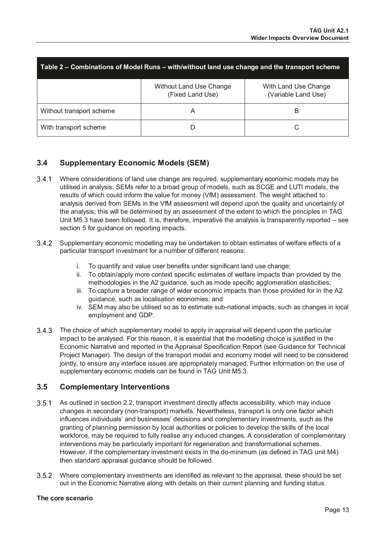| Table 2 – Combinations of Model Runs – with/without land use change and the transport scheme |                                                    |                                             |  |
|----------------------------------------------------------------------------------------------|----------------------------------------------------|---------------------------------------------|--|
|                                                                                              | <b>Without Land Use Change</b><br>(Fixed Land Use) | With Land Use Change<br>(Variable Land Use) |  |
| Without transport scheme                                                                     | A                                                  | B                                           |  |
| With transport scheme                                                                        |                                                    |                                             |  |

## <span id="page-14-0"></span>**3.4 Supplementary Economic Models (SEM)**

- Where considerations of land use change are required, supplementary economic models may be utilised in analysis. SEMs refer to a broad group of models, such as SCGE and LUTI models, the results of which could inform the value for money (VfM) assessment. The weight attached to analysis derived from SEMs in the VfM assessment will depend upon the quality and uncertainty of the analysis; this will be determined by an assessment of the extent to which the principles in TAG Unit M5.3 have been followed. It is, therefore, imperative the analysis is transparently reported – see section 5 for guidance on reporting impacts.
- Supplementary economic modelling may be undertaken to obtain estimates of welfare effects of a particular transport investment for a number of different reasons:
	- i. To quantify and value user benefits under significant land use change;
	- ii. To obtain/apply more context specific estimates of welfare impacts than provided by the methodologies in the A2 guidance, such as mode specific agglomeration elasticities;
	- iii. To capture a broader range of wider economic impacts than those provided for in the A2 guidance, such as localisation economies; and
	- iv. SEM may also be utilised so as to estimate sub-national impacts, such as changes in local employment and GDP.
- 3.4.3 The choice of which supplementary model to apply in appraisal will depend upon the particular impact to be analysed. For this reason, it is essential that the modelling choice is justified in the Economic Narrative and reported in the Appraisal Specification Report (see Guidance for Technical Project Manager). The design of the transport model and economy model will need to be considered jointly, to ensure any interface issues are appropriately managed. Further information on the use of supplementary economic models can be found in TAG Unit M5.3.

#### <span id="page-14-1"></span>**3.5 Complementary Interventions**

- 3.5.1 As outlined in section 2.2, transport investment directly affects accessibility, which may induce changes in secondary (non-transport) markets. Nevertheless, transport is only one factor which influences individuals' and businesses' decisions and complementary investments, such as the granting of planning permission by local authorities or policies to develop the skills of the local workforce, may be required to fully realise any induced changes. A consideration of complementary interventions may be particularly important for regeneration and transformational schemes. However, if the complementary investment exists in the do-minimum (as defined in TAG unit M4) then standard appraisal guidance should be followed.
- Where complementary investments are identified as relevant to the appraisal, these should be set out in the Economic Narrative along with details on their current planning and funding status.

#### **The core scenario**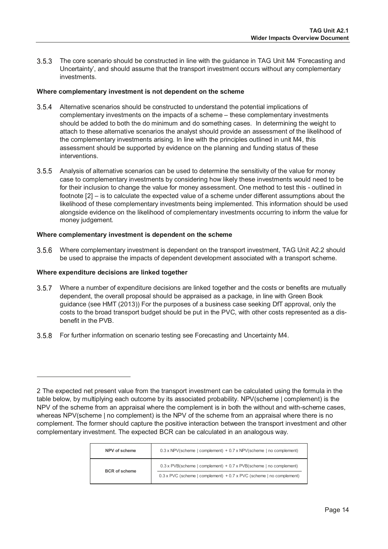The core scenario should be constructed in line with the guidance in TAG Unit M4 'Forecasting and Uncertainty', and should assume that the transport investment occurs without any complementary investments.

#### **Where complementary investment is not dependent on the scheme**

- Alternative scenarios should be constructed to understand the potential implications of complementary investments on the impacts of a scheme – these complementary investments should be added to both the do minimum and do something cases. In determining the weight to attach to these alternative scenarios the analyst should provide an assessment of the likelihood of the complementary investments arising. In line with the principles outlined in unit M4, this assessment should be supported by evidence on the planning and funding status of these interventions.
- Analysis of alternative scenarios can be used to determine the sensitivity of the value for money case to complementary investments by considering how likely these investments would need to be for their inclusion to change the value for money assessment. One method to test this - outlined in footnote [[2\]](#page-15-0) – is to calculate the expected value of a scheme under different assumptions about the likelihood of these complementary investments being implemented. This information should be used alongside evidence on the likelihood of complementary investments occurring to inform the value for money judgement.

#### **Where complementary investment is dependent on the scheme**

 Where complementary investment is dependent on the transport investment, TAG Unit A2.2 should be used to appraise the impacts of dependent development associated with a transport scheme.

#### **Where expenditure decisions are linked together**

 $\overline{a}$ 

- 3.5.7 Where a number of expenditure decisions are linked together and the costs or benefits are mutually dependent, the overall proposal should be appraised as a package, in line with Green Book guidance (see HMT (2013)) For the purposes of a business case seeking DfT approval, only the costs to the broad transport budget should be put in the PVC, with other costs represented as a disbenefit in the PVB.
- For further information on scenario testing see Forecasting and Uncertainty M4.

<span id="page-15-0"></span><sup>2</sup> The expected net present value from the transport investment can be calculated using the formula in the table below, by multiplying each outcome by its associated probability. NPV(scheme | complement) is the NPV of the scheme from an appraisal where the complement is in both the without and with-scheme cases, whereas NPV(scheme | no complement) is the NPV of the scheme from an appraisal where there is no complement. The former should capture the positive interaction between the transport investment and other complementary investment. The expected BCR can be calculated in an analogous way.

| NPV of scheme        | $0.3 \times$ NPV(scheme   complement) + 0.7 x NPV(scheme   no complement)                                                                                |
|----------------------|----------------------------------------------------------------------------------------------------------------------------------------------------------|
| <b>BCR</b> of scheme | $0.3 \times$ PVB(scheme   complement) + 0.7 x PVB(scheme   no complement)<br>$0.3 \times$ PVC (scheme   complement) + 0.7 x PVC (scheme   no complement) |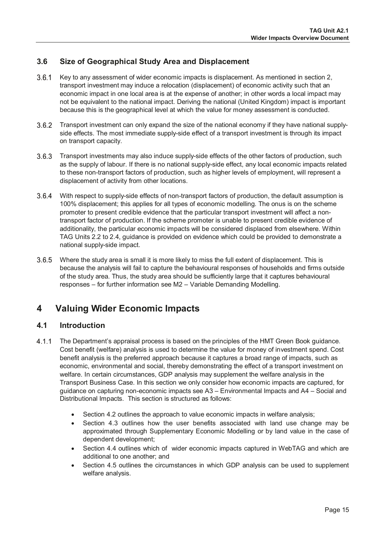## <span id="page-16-0"></span>**3.6 Size of Geographical Study Area and Displacement**

- 3.6.1 Key to any assessment of wider economic impacts is displacement. As mentioned in section 2, transport investment may induce a relocation (displacement) of economic activity such that an economic impact in one local area is at the expense of another; in other words a local impact may not be equivalent to the national impact. Deriving the national (United Kingdom) impact is important because this is the geographical level at which the value for money assessment is conducted.
- 3.6.2 Transport investment can only expand the size of the national economy if they have national supplyside effects. The most immediate supply-side effect of a transport investment is through its impact on transport capacity.
- $3.6.3$ Transport investments may also induce supply-side effects of the other factors of production, such as the supply of labour. If there is no national supply-side effect, any local economic impacts related to these non-transport factors of production, such as higher levels of employment, will represent a displacement of activity from other locations.
- With respect to supply-side effects of non-transport factors of production, the default assumption is 100% displacement; this applies for all types of economic modelling. The onus is on the scheme promoter to present credible evidence that the particular transport investment will affect a nontransport factor of production. If the scheme promoter is unable to present credible evidence of additionality, the particular economic impacts will be considered displaced from elsewhere. Within TAG Units 2.2 to 2.4, guidance is provided on evidence which could be provided to demonstrate a national supply-side impact.
- Where the study area is small it is more likely to miss the full extent of displacement. This is because the analysis will fail to capture the behavioural responses of households and firms outside of the study area. Thus, the study area should be sufficiently large that it captures behavioural responses – for further information see M2 – Variable Demanding Modelling.

## <span id="page-16-1"></span>**4 Valuing Wider Economic Impacts**

### <span id="page-16-2"></span>**4.1 Introduction**

- 4.1.1 The Department's appraisal process is based on the principles of the HMT Green Book guidance. Cost benefit (welfare) analysis is used to determine the value for money of investment spend. Cost benefit analysis is the preferred approach because it captures a broad range of impacts, such as economic, environmental and social, thereby demonstrating the effect of a transport investment on welfare. In certain circumstances, GDP analysis may supplement the welfare analysis in the Transport Business Case. In this section we only consider how economic impacts are captured, for guidance on capturing non-economic impacts see A3 – Environmental Impacts and A4 – Social and Distributional Impacts. This section is structured as follows:
	- Section 4.2 outlines the approach to value economic impacts in welfare analysis;
	- Section 4.3 outlines how the user benefits associated with land use change may be approximated through Supplementary Economic Modelling or by land value in the case of dependent development;
	- Section 4.4 outlines which of wider economic impacts captured in WebTAG and which are additional to one another; and
	- Section 4.5 outlines the circumstances in which GDP analysis can be used to supplement welfare analysis.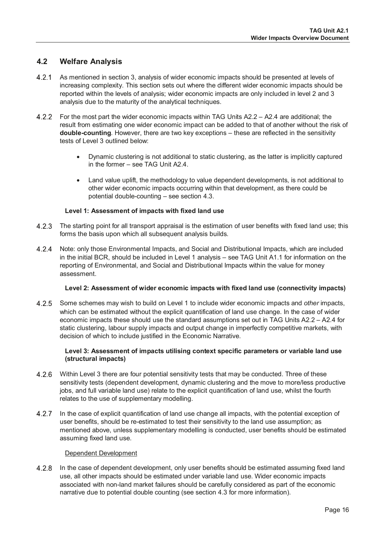## <span id="page-17-0"></span>**4.2 Welfare Analysis**

- 4.2.1 As mentioned in section 3, analysis of wider economic impacts should be presented at levels of increasing complexity. This section sets out where the different wider economic impacts should be reported within the levels of analysis; wider economic impacts are only included in level 2 and 3 analysis due to the maturity of the analytical techniques.
- For the most part the wider economic impacts within TAG Units A2.2 A2.4 are additional; the result from estimating one wider economic impact can be added to that of another without the risk of **double-counting**. However, there are two key exceptions – these are reflected in the sensitivity tests of Level 3 outlined below:
	- Dynamic clustering is not additional to static clustering, as the latter is implicitly captured in the former – see TAG Unit A2.4.
	- Land value uplift, the methodology to value dependent developments, is not additional to other wider economic impacts occurring within that development, as there could be potential double-counting – see section 4.3.

#### **Level 1: Assessment of impacts with fixed land use**

- 4.2.3 The starting point for all transport appraisal is the estimation of user benefits with fixed land use; this forms the basis upon which all subsequent analysis builds.
- 4.2.4 Note: only those Environmental Impacts, and Social and Distributional Impacts, which are included in the initial BCR, should be included in Level 1 analysis – see TAG Unit A1.1 for information on the reporting of Environmental, and Social and Distributional Impacts within the value for money assessment.

#### **Level 2: Assessment of wider economic impacts with fixed land use (connectivity impacts)**

 Some schemes may wish to build on Level 1 to include wider economic impacts and *other* impacts, which can be estimated without the explicit quantification of land use change. In the case of wider economic impacts these should use the standard assumptions set out in TAG Units A2.2 – A2.4 for static clustering, labour supply impacts and output change in imperfectly competitive markets, with decision of which to include justified in the Economic Narrative.

#### **Level 3: Assessment of impacts utilising context specific parameters or variable land use (structural impacts)**

- 4.2.6 Within Level 3 there are four potential sensitivity tests that may be conducted. Three of these sensitivity tests (dependent development, dynamic clustering and the move to more/less productive jobs, and full variable land use) relate to the explicit quantification of land use, whilst the fourth relates to the use of supplementary modelling.
- 4.2.7 In the case of explicit quantification of land use change all impacts, with the potential exception of user benefits, should be re-estimated to test their sensitivity to the land use assumption; as mentioned above, unless supplementary modelling is conducted, user benefits should be estimated assuming fixed land use.

#### Dependent Development

 In the case of dependent development, only user benefits should be estimated assuming fixed land use, all other impacts should be estimated under variable land use. Wider economic impacts associated with non-land market failures should be carefully considered as part of the economic narrative due to potential double counting (see section 4.3 for more information).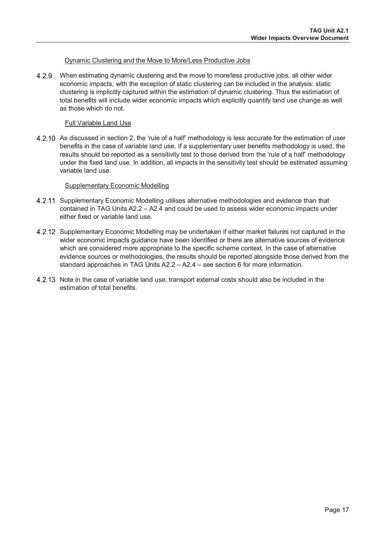#### Dynamic Clustering and the Move to More/Less Productive Jobs

4.2.9 When estimating dynamic clustering and the move to more/less productive jobs, all other wider economic impacts, with the exception of static clustering can be included in the analysis: static clustering is implicitly captured within the estimation of dynamic clustering. Thus the estimation of total benefits will include wider economic impacts which explicitly quantify land use change as well as those which do not.

#### Full Variable Land Use

4.2.10 As discussed in section 2, the 'rule of a half' methodology is less accurate for the estimation of user benefits in the case of variable land use. If a supplementary user benefits methodology is used, the results should be reported as a sensitivity test to those derived from the 'rule of a half' methodology under the fixed land use. In addition, all impacts in the sensitivity test should be estimated assuming variable land use.

#### Supplementary Economic Modelling

- 4.2.11 Supplementary Economic Modelling utilises alternative methodologies and evidence than that contained in TAG Units A2.2 – A2.4 and could be used to assess wider economic impacts under either fixed or variable land use.
- 4.2.12 Supplementary Economic Modelling may be undertaken if either market failures not captured in the wider economic impacts guidance have been identified or there are alternative sources of evidence which are considered more appropriate to the specific scheme context. In the case of alternative evidence sources or methodologies, the results should be reported alongside those derived from the standard approaches in TAG Units A2.2 – A2.4 – see section 6 for more information.
- 4.2.13 Note in the case of variable land use, transport external costs should also be included in the estimation of total benefits.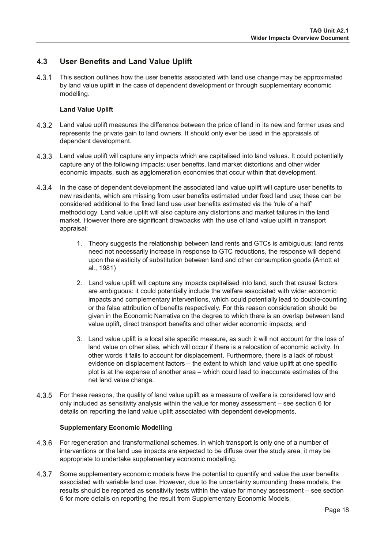## <span id="page-19-0"></span>**4.3 User Benefits and Land Value Uplift**

4.3.1 This section outlines how the user benefits associated with land use change may be approximated by land value uplift in the case of dependent development or through supplementary economic modelling.

#### **Land Value Uplift**

- 4.3.2 Land value uplift measures the difference between the price of land in its new and former uses and represents the private gain to land owners. It should only ever be used in the appraisals of dependent development.
- $4.3.3$ Land value uplift will capture any impacts which are capitalised into land values. It could potentially capture any of the following impacts: user benefits, land market distortions and other wider economic impacts, such as agglomeration economies that occur within that development.
- 4.3.4 In the case of dependent development the associated land value uplift will capture user benefits to new residents, which are missing from user benefits estimated under fixed land use; these can be considered additional to the fixed land use user benefits estimated via the 'rule of a half' methodology. Land value uplift will also capture any distortions and market failures in the land market. However there are significant drawbacks with the use of land value uplift in transport appraisal:
	- 1. Theory suggests the relationship between land rents and GTCs is ambiguous; land rents need not necessarily increase in response to GTC reductions, the response will depend upon the elasticity of substitution between land and other consumption goods (Arnott et al., 1981)
	- 2. Land value uplift will capture any impacts capitalised into land, such that causal factors are ambiguous: it could potentially include the welfare associated with wider economic impacts and complementary interventions, which could potentially lead to double-counting or the false attribution of benefits respectively. For this reason consideration should be given in the Economic Narrative on the degree to which there is an overlap between land value uplift, direct transport benefits and other wider economic impacts; and
	- 3. Land value uplift is a local site specific measure, as such it will not account for the loss of land value on other sites, which will occur if there is a relocation of economic activity. In other words it fails to account for displacement. Furthermore, there is a lack of robust evidence on displacement factors – the extent to which land value uplift at one specific plot is at the expense of another area – which could lead to inaccurate estimates of the net land value change.
- 4.3.5 For these reasons, the quality of land value uplift as a measure of welfare is considered low and only included as sensitivity analysis within the value for money assessment – see section 6 for details on reporting the land value uplift associated with dependent developments.

#### **Supplementary Economic Modelling**

- 4.3.6 For regeneration and transformational schemes, in which transport is only one of a number of interventions or the land use impacts are expected to be diffuse over the study area, it may be appropriate to undertake supplementary economic modelling.
- 4.3.7 Some supplementary economic models have the potential to quantify and value the user benefits associated with variable land use. However, due to the uncertainty surrounding these models, the results should be reported as sensitivity tests within the value for money assessment – see section 6 for more details on reporting the result from Supplementary Economic Models.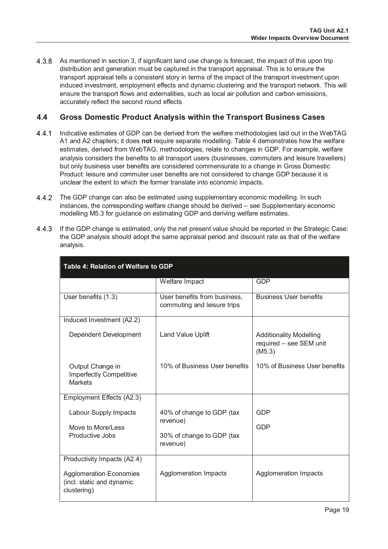4.3.8 As mentioned in section 3, if significant land use change is forecast, the impact of this upon trip distribution and generation must be captured in the transport appraisal. This is to ensure the transport appraisal tells a consistent story in terms of the impact of the transport investment upon induced investment, employment effects and dynamic clustering and the transport network. This will ensure the transport flows and externalities, such as local air pollution and carbon emissions, accurately reflect the second round effects

## <span id="page-20-0"></span>**4.4 Gross Domestic Product Analysis within the Transport Business Cases**

- Indicative estimates of GDP can be derived from the welfare methodologies laid out in the WebTAG A1 and A2 chapters; it does **not** require separate modelling. Table 4 demonstrates how the welfare estimates, derived from WebTAG, methodologies, relate to changes in GDP. For example, welfare analysis considers the benefits to all transport users (businesses, commuters and leisure travellers) but only business user benefits are considered commensurate to a change in Gross Domestic Product: leisure and commuter user benefits are not considered to change GDP because it is unclear the extent to which the former translate into economic impacts.
- The GDP change can also be estimated using supplementary economic modelling. In such instances, the corresponding welfare change should be derived – see Supplementary economic modelling M5.3 for guidance on estimating GDP and deriving welfare estimates.
- If the GDP change is estimated, only the net present value should be reported in the Strategic Case: the GDP analysis should adopt the same appraisal period and discount rate as that of the welfare analysis.

| Table 4: Relation of Welfare to GDP                                        |                                                             |                                                                     |  |
|----------------------------------------------------------------------------|-------------------------------------------------------------|---------------------------------------------------------------------|--|
|                                                                            | Welfare Impact                                              | GDP                                                                 |  |
| User benefits (1.3)                                                        | User benefits from business,<br>commuting and leisure trips | <b>Business User benefits</b>                                       |  |
| Induced Investment (A2.2)                                                  |                                                             |                                                                     |  |
| Dependent Development                                                      | Land Value Uplift                                           | <b>Additionality Modelling</b><br>required - see SEM unit<br>(M5.3) |  |
| Output Change in<br><b>Imperfectly Competitive</b><br><b>Markets</b>       | 10% of Business User benefits                               | 10% of Business User benefits                                       |  |
| Employment Effects (A2.3)                                                  |                                                             |                                                                     |  |
| Labour Supply Impacts<br>Move to More/Less                                 | 40% of change to GDP (tax<br>revenue)                       | GDP<br>GDP                                                          |  |
| Productive Jobs                                                            | 30% of change to GDP (tax<br>revenue)                       |                                                                     |  |
| Productivity Impacts (A2.4)                                                |                                                             |                                                                     |  |
| <b>Agglomeration Economies</b><br>(incl. static and dynamic<br>clustering) | Agglomeration Impacts                                       | Agglomeration Impacts                                               |  |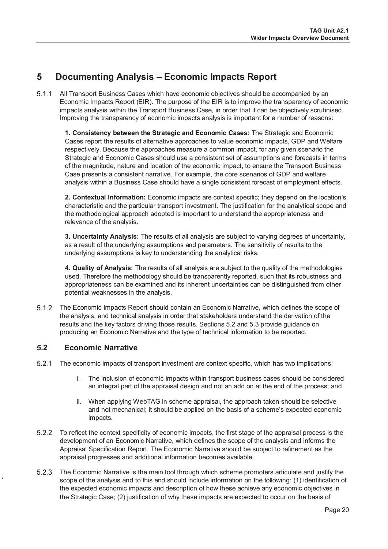## <span id="page-21-0"></span>**5 Documenting Analysis – Economic Impacts Report**

 All Transport Business Cases which have economic objectives should be accompanied by an Economic Impacts Report (EIR). The purpose of the EIR is to improve the transparency of economic impacts analysis within the Transport Business Case, in order that it can be objectively scrutinised. Improving the transparency of economic impacts analysis is important for a number of reasons:

**1. Consistency between the Strategic and Economic Cases:** The Strategic and Economic Cases report the results of alternative approaches to value economic impacts, GDP and Welfare respectively. Because the approaches measure a common impact, for any given scenario the Strategic and Economic Cases should use a consistent set of assumptions and forecasts in terms of the magnitude, nature and location of the economic impact, to ensure the Transport Business Case presents a consistent narrative. For example, the core scenarios of GDP and welfare analysis within a Business Case should have a single consistent forecast of employment effects.

**2. Contextual Information:** Economic impacts are context specific; they depend on the location's characteristic and the particular transport investment. The justification for the analytical scope and the methodological approach adopted is important to understand the appropriateness and relevance of the analysis.

**3. Uncertainty Analysis:** The results of all analysis are subject to varying degrees of uncertainty, as a result of the underlying assumptions and parameters. The sensitivity of results to the underlying assumptions is key to understanding the analytical risks.

**4. Quality of Analysis:** The results of all analysis are subject to the quality of the methodologies used. Therefore the methodology should be transparently reported, such that its robustness and appropriateness can be examined and its inherent uncertainties can be distinguished from other potential weaknesses in the analysis.

 The Economic Impacts Report should contain an Economic Narrative, which defines the scope of the analysis, and technical analysis in order that stakeholders understand the derivation of the results and the key factors driving those results. Sections 5.2 and 5.3 provide guidance on producing an Economic Narrative and the type of technical information to be reported.

## <span id="page-21-1"></span>**5.2 Economic Narrative**

- 5.2.1 The economic impacts of transport investment are context specific, which has two implications:
	- i. The inclusion of economic impacts within transport business cases should be considered an integral part of the appraisal design and not an add on at the end of the process; and
	- ii. When applying WebTAG in scheme appraisal, the approach taken should be selective and not mechanical; it should be applied on the basis of a scheme's expected economic impacts.
- To reflect the context specificity of economic impacts, the first stage of the appraisal process is the development of an Economic Narrative, which defines the scope of the analysis and informs the Appraisal Specification Report. The Economic Narrative should be subject to refinement as the appraisal progresses and additional information becomes available.
- The Economic Narrative is the main tool through which scheme promoters articulate and justify the scope of the analysis and to this end should include information on the following: (1) identification of the expected economic impacts and description of how these achieve any economic objectives in the Strategic Case; (2) justification of why these impacts are expected to occur on the basis of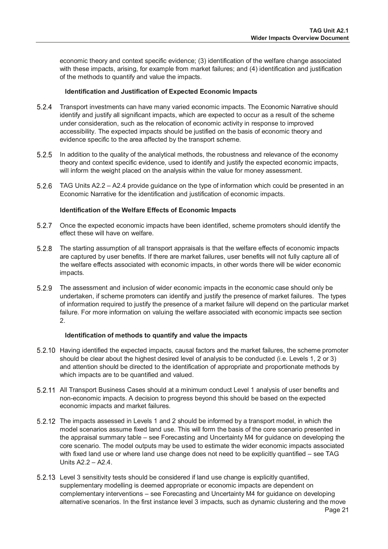economic theory and context specific evidence; (3) identification of the welfare change associated with these impacts, arising, for example from market failures; and (4) identification and justification of the methods to quantify and value the impacts.

#### **Identification and Justification of Expected Economic Impacts**

- Transport investments can have many varied economic impacts. The Economic Narrative should identify and justify all significant impacts, which are expected to occur as a result of the scheme under consideration, such as the relocation of economic activity in response to improved accessibility. The expected impacts should be justified on the basis of economic theory and evidence specific to the area affected by the transport scheme.
- 5.2.5 In addition to the quality of the analytical methods, the robustness and relevance of the economy theory and context specific evidence, used to identify and justify the expected economic impacts, will inform the weight placed on the analysis within the value for money assessment.
- TAG Units A2.2 A2.4 provide guidance on the type of information which could be presented in an Economic Narrative for the identification and justification of economic impacts.

#### **Identification of the Welfare Effects of Economic Impacts**

- Once the expected economic impacts have been identified, scheme promoters should identify the effect these will have on welfare.
- The starting assumption of all transport appraisals is that the welfare effects of economic impacts are captured by user benefits. If there are market failures, user benefits will not fully capture all of the welfare effects associated with economic impacts, in other words there will be wider economic impacts.
- The assessment and inclusion of wider economic impacts in the economic case should only be undertaken, if scheme promoters can identify and justify the presence of market failures. The types of information required to justify the presence of a market failure will depend on the particular market failure. For more information on valuing the welfare associated with economic impacts see section 2.

#### **Identification of methods to quantify and value the impacts**

- 5.2.10 Having identified the expected impacts, causal factors and the market failures, the scheme promoter should be clear about the highest desired level of analysis to be conducted (i.e. Levels 1, 2 or 3) and attention should be directed to the identification of appropriate and proportionate methods by which impacts are to be quantified and valued.
- All Transport Business Cases should at a minimum conduct Level 1 analysis of user benefits and non-economic impacts. A decision to progress beyond this should be based on the expected economic impacts and market failures.
- The impacts assessed in Levels 1 and 2 should be informed by a transport model, in which the model scenarios assume fixed land use. This will form the basis of the core scenario presented in the appraisal summary table – see Forecasting and Uncertainty M4 for guidance on developing the core scenario. The model outputs may be used to estimate the wider economic impacts associated with fixed land use or where land use change does not need to be explicitly quantified – see TAG Units A2.2 – A2.4.
- Level 3 sensitivity tests should be considered if land use change is explicitly quantified, supplementary modelling is deemed appropriate or economic impacts are dependent on complementary interventions – see Forecasting and Uncertainty M4 for guidance on developing alternative scenarios. In the first instance level 3 impacts, such as dynamic clustering and the move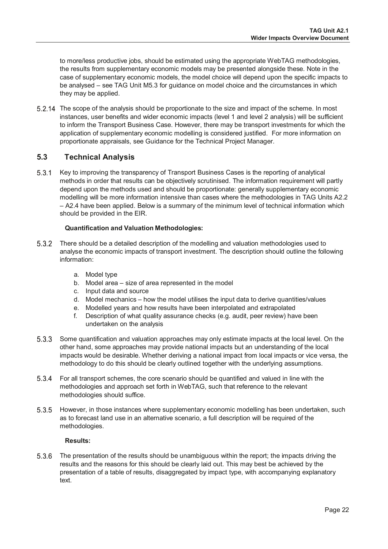to more/less productive jobs, should be estimated using the appropriate WebTAG methodologies, the results from supplementary economic models may be presented alongside these. Note in the case of supplementary economic models, the model choice will depend upon the specific impacts to be analysed – see TAG Unit M5.3 for guidance on model choice and the circumstances in which they may be applied.

 The scope of the analysis should be proportionate to the size and impact of the scheme. In most instances, user benefits and wider economic impacts (level 1 and level 2 analysis) will be sufficient to inform the Transport Business Case. However, there may be transport investments for which the application of supplementary economic modelling is considered justified. For more information on proportionate appraisals, see Guidance for the Technical Project Manager.

## <span id="page-23-0"></span>**5.3 Technical Analysis**

5.3.1 Key to improving the transparency of Transport Business Cases is the reporting of analytical methods in order that results can be objectively scrutinised. The information requirement will partly depend upon the methods used and should be proportionate: generally supplementary economic modelling will be more information intensive than cases where the methodologies in TAG Units A2.2 – A2.4 have been applied. Below is a summary of the minimum level of technical information which should be provided in the EIR.

#### **Quantification and Valuation Methodologies:**

- There should be a detailed description of the modelling and valuation methodologies used to analyse the economic impacts of transport investment. The description should outline the following information:
	- a. Model type
	- b. Model area size of area represented in the model
	- c. Input data and source
	- d. Model mechanics how the model utilises the input data to derive quantities/values
	- e. Modelled years and how results have been interpolated and extrapolated
	- f. Description of what quality assurance checks (e.g. audit, peer review) have been undertaken on the analysis
- 5.3.3 Some quantification and valuation approaches may only estimate impacts at the local level. On the other hand, some approaches may provide national impacts but an understanding of the local impacts would be desirable. Whether deriving a national impact from local impacts or vice versa, the methodology to do this should be clearly outlined together with the underlying assumptions.
- For all transport schemes, the core scenario should be quantified and valued in line with the methodologies and approach set forth in WebTAG, such that reference to the relevant methodologies should suffice.
- 5.3.5 However, in those instances where supplementary economic modelling has been undertaken, such as to forecast land use in an alternative scenario, a full description will be required of the methodologies.

#### **Results:**

 The presentation of the results should be unambiguous within the report; the impacts driving the results and the reasons for this should be clearly laid out. This may best be achieved by the presentation of a table of results, disaggregated by impact type, with accompanying explanatory text.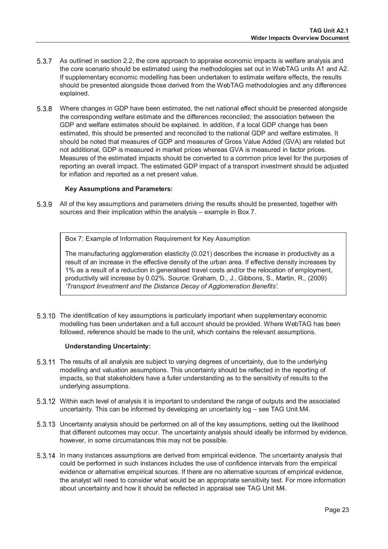- 5.3.7 As outlined in section 2.2, the core approach to appraise economic impacts is welfare analysis and the core scenario should be estimated using the methodologies set out in WebTAG units A1 and A2. If supplementary economic modelling has been undertaken to estimate welfare effects, the results should be presented alongside those derived from the WebTAG methodologies and any differences explained.
- Where changes in GDP have been estimated, the net national effect should be presented alongside the corresponding welfare estimate and the differences reconciled; the association between the GDP and welfare estimates should be explained. In addition, if a local GDP change has been estimated, this should be presented and reconciled to the national GDP and welfare estimates. It should be noted that measures of GDP and measures of Gross Value Added (GVA) are related but not additional, GDP is measured in market prices whereas GVA is measured in factor prices. Measures of the estimated impacts should be converted to a common price level for the purposes of reporting an overall impact. The estimated GDP impact of a transport investment should be adjusted for inflation and reported as a net present value.

#### **Key Assumptions and Parameters:**

5.3.9 All of the key assumptions and parameters driving the results should be presented, together with sources and their implication within the analysis – example in Box 7.

Box 7: Example of Information Requirement for Key Assumption

The manufacturing agglomeration elasticity (0.021) describes the increase in productivity as a result of an increase in the effective density of the urban area. If effective density increases by 1% as a result of a reduction in generalised travel costs and/or the relocation of employment, productivity will increase by 0.02%. Source: Graham, D., J., Gibbons, S., Martin, R., (2009) *'Transport Investment and the Distance Decay of Agglomeration Benefits'.*

5.3.10 The identification of key assumptions is particularly important when supplementary economic modelling has been undertaken and a full account should be provided. Where WebTAG has been followed, reference should be made to the unit, which contains the relevant assumptions.

#### **Understanding Uncertainty:**

- The results of all analysis are subject to varying degrees of uncertainty, due to the underlying modelling and valuation assumptions. This uncertainty should be reflected in the reporting of impacts, so that stakeholders have a fuller understanding as to the sensitivity of results to the underlying assumptions.
- Within each level of analysis it is important to understand the range of outputs and the associated uncertainty. This can be informed by developing an uncertainty log – see TAG Unit M4.
- Uncertainty analysis should be performed on all of the key assumptions, setting out the likelihood that different outcomes may occur. The uncertainty analysis should ideally be informed by evidence, however, in some circumstances this may not be possible.
- In many instances assumptions are derived from empirical evidence. The uncertainty analysis that could be performed in such instances includes the use of confidence intervals from the empirical evidence or alternative empirical sources. If there are no alternative sources of empirical evidence, the analyst will need to consider what would be an appropriate sensitivity test. For more information about uncertainty and how it should be reflected in appraisal see TAG Unit M4.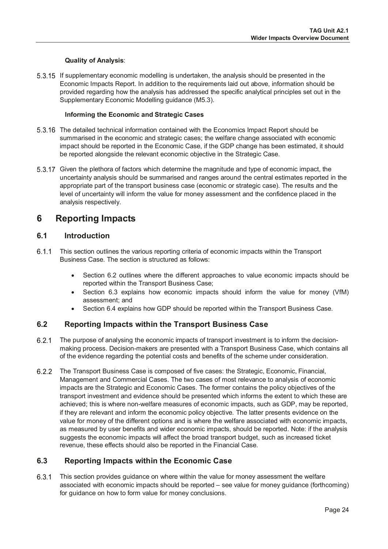#### **Quality of Analysis**:

 If supplementary economic modelling is undertaken, the analysis should be presented in the Economic Impacts Report. In addition to the requirements laid out above, information should be provided regarding how the analysis has addressed the specific analytical principles set out in the Supplementary Economic Modelling guidance (M5.3).

#### **Informing the Economic and Strategic Cases**

- The detailed technical information contained with the Economics Impact Report should be summarised in the economic and strategic cases; the welfare change associated with economic impact should be reported in the Economic Case, if the GDP change has been estimated, it should be reported alongside the relevant economic objective in the Strategic Case.
- 5.3.17 Given the plethora of factors which determine the magnitude and type of economic impact, the uncertainty analysis should be summarised and ranges around the central estimates reported in the appropriate part of the transport business case (economic or strategic case). The results and the level of uncertainty will inform the value for money assessment and the confidence placed in the analysis respectively.

## <span id="page-25-0"></span>**6 Reporting Impacts**

#### <span id="page-25-1"></span>**6.1 Introduction**

- 6.1.1 This section outlines the various reporting criteria of economic impacts within the Transport Business Case. The section is structured as follows:
	- Section 6.2 outlines where the different approaches to value economic impacts should be reported within the Transport Business Case;
	- Section 6.3 explains how economic impacts should inform the value for money (VfM) assessment; and
	- Section 6.4 explains how GDP should be reported within the Transport Business Case.

#### <span id="page-25-2"></span>**6.2 Reporting Impacts within the Transport Business Case**

- The purpose of analysing the economic impacts of transport investment is to inform the decisionmaking process. Decision-makers are presented with a Transport Business Case, which contains all of the evidence regarding the potential costs and benefits of the scheme under consideration.
- The Transport Business Case is composed of five cases: the Strategic, Economic, Financial, Management and Commercial Cases. The two cases of most relevance to analysis of economic impacts are the Strategic and Economic Cases. The former contains the policy objectives of the transport investment and evidence should be presented which informs the extent to which these are achieved; this is where non-welfare measures of economic impacts, such as GDP, may be reported, if they are relevant and inform the economic policy objective. The latter presents evidence on the value for money of the different options and is where the welfare associated with economic impacts, as measured by user benefits and wider economic impacts, should be reported. Note: if the analysis suggests the economic impacts will affect the broad transport budget, such as increased ticket revenue, these effects should also be reported in the Financial Case.

### <span id="page-25-3"></span>**6.3 Reporting Impacts within the Economic Case**

 This section provides guidance on where within the value for money assessment the welfare associated with economic impacts should be reported – see value for money guidance (forthcoming) for guidance on how to form value for money conclusions.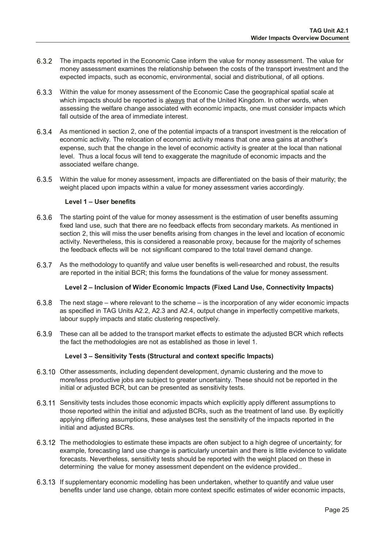- The impacts reported in the Economic Case inform the value for money assessment. The value for money assessment examines the relationship between the costs of the transport investment and the expected impacts, such as economic, environmental, social and distributional, of all options.
- Within the value for money assessment of the Economic Case the geographical spatial scale at which impacts should be reported is always that of the United Kingdom. In other words, when assessing the welfare change associated with economic impacts, one must consider impacts which fall outside of the area of immediate interest.
- 6.3.4 As mentioned in section 2, one of the potential impacts of a transport investment is the relocation of economic activity. The relocation of economic activity means that one area gains at another's expense, such that the change in the level of economic activity is greater at the local than national level. Thus a local focus will tend to exaggerate the magnitude of economic impacts and the associated welfare change.
- Within the value for money assessment, impacts are differentiated on the basis of their maturity; the weight placed upon impacts within a value for money assessment varies accordingly.

#### **Level 1 – User benefits**

- 6.3.6 The starting point of the value for money assessment is the estimation of user benefits assuming fixed land use, such that there are no feedback effects from secondary markets. As mentioned in section 2, this will miss the user benefits arising from changes in the level and location of economic activity. Nevertheless, this is considered a reasonable proxy, because for the majority of schemes the feedback effects will be not significant compared to the total travel demand change.
- 6.3.7 As the methodology to quantify and value user benefits is well-researched and robust, the results are reported in the initial BCR; this forms the foundations of the value for money assessment.

#### **Level 2 – Inclusion of Wider Economic Impacts (Fixed Land Use, Connectivity Impacts)**

- The next stage where relevant to the scheme is the incorporation of any wider economic impacts as specified in TAG Units A2.2, A2.3 and A2.4, output change in imperfectly competitive markets, labour supply impacts and static clustering respectively.
- These can all be added to the transport market effects to estimate the adjusted BCR which reflects the fact the methodologies are not as established as those in level 1.

#### **Level 3 – Sensitivity Tests (Structural and context specific Impacts)**

- 6.3.10 Other assessments, including dependent development, dynamic clustering and the move to more/less productive jobs are subject to greater uncertainty. These should not be reported in the initial or adjusted BCR, but can be presented as sensitivity tests.
- 6.3.11 Sensitivity tests includes those economic impacts which explicitly apply different assumptions to those reported within the initial and adjusted BCRs, such as the treatment of land use. By explicitly applying differing assumptions, these analyses test the sensitivity of the impacts reported in the initial and adjusted BCRs.
- The methodologies to estimate these impacts are often subject to a high degree of uncertainty; for example, forecasting land use change is particularly uncertain and there is little evidence to validate forecasts. Nevertheless, sensitivity tests should be reported with the weight placed on these in determining the value for money assessment dependent on the evidence provided..
- 6.3.13 If supplementary economic modelling has been undertaken, whether to quantify and value user benefits under land use change, obtain more context specific estimates of wider economic impacts,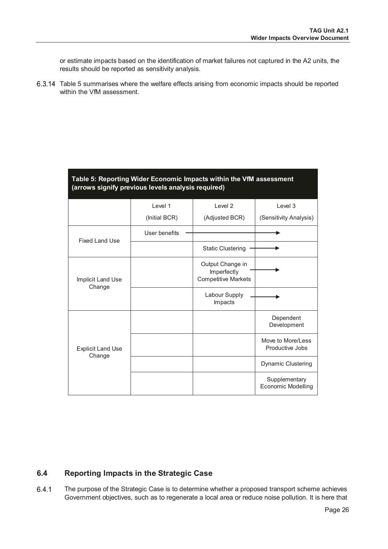or estimate impacts based on the identification of market failures not captured in the A2 units, the results should be reported as sensitivity analysis.

 Table 5 summarises where the welfare effects arising from economic impacts should be reported within the VfM assessment.

| Table 5: Reporting Wider Economic Impacts within the VfM assessment<br>(arrows signify previous levels analysis required) |               |                                                               |                                            |
|---------------------------------------------------------------------------------------------------------------------------|---------------|---------------------------------------------------------------|--------------------------------------------|
|                                                                                                                           | Level 1       | Level <sub>2</sub>                                            | Level 3                                    |
|                                                                                                                           | (Initial BCR) | (Adjusted BCR)                                                | (Sensitivity Analysis)                     |
| <b>Fixed Land Use</b>                                                                                                     | User benefits |                                                               |                                            |
|                                                                                                                           |               | <b>Static Clustering</b>                                      |                                            |
| Implicit Land Use<br>Change                                                                                               |               | Output Change in<br>Imperfectly<br><b>Competitive Markets</b> |                                            |
|                                                                                                                           |               | Labour Supply<br>Impacts                                      |                                            |
|                                                                                                                           |               |                                                               | Dependent<br>Development                   |
| <b>Explicit Land Use</b><br>Change                                                                                        |               |                                                               | Move to More/Less<br>Productive Jobs       |
|                                                                                                                           |               |                                                               | Dynamic Clustering                         |
|                                                                                                                           |               |                                                               | Supplementary<br><b>Economic Modelling</b> |

## <span id="page-27-0"></span>**6.4 Reporting Impacts in the Strategic Case**

 The purpose of the Strategic Case is to determine whether a proposed transport scheme achieves Government objectives, such as to regenerate a local area or reduce noise pollution. It is here that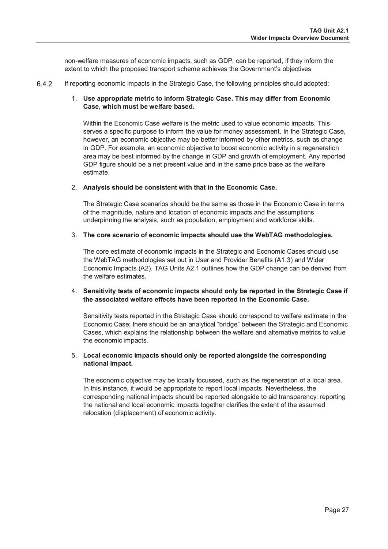non-welfare measures of economic impacts, such as GDP, can be reported, if they inform the extent to which the proposed transport scheme achieves the Government's objectives

6.4.2 If reporting economic impacts in the Strategic Case, the following principles should adopted:

#### 1. **Use appropriate metric to inform Strategic Case. This may differ from Economic Case, which must be welfare based.**

Within the Economic Case welfare is the metric used to value economic impacts. This serves a specific purpose to inform the value for money assessment. In the Strategic Case, however, an economic objective may be better informed by other metrics, such as change in GDP. For example, an economic objective to boost economic activity in a regeneration area may be best informed by the change in GDP and growth of employment. Any reported GDP figure should be a net present value and in the same price base as the welfare estimate.

#### 2. **Analysis should be consistent with that in the Economic Case.**

The Strategic Case scenarios should be the same as those in the Economic Case in terms of the magnitude, nature and location of economic impacts and the assumptions underpinning the analysis, such as population, employment and workforce skills.

#### 3. **The core scenario of economic impacts should use the WebTAG methodologies.**

The core estimate of economic impacts in the Strategic and Economic Cases should use the WebTAG methodologies set out in User and Provider Benefits (A1.3) and Wider Economic Impacts (A2). TAG Units A2.1 outlines how the GDP change can be derived from the welfare estimates.

#### 4. **Sensitivity tests of economic impacts should only be reported in the Strategic Case if the associated welfare effects have been reported in the Economic Case.**

Sensitivity tests reported in the Strategic Case should correspond to welfare estimate in the Economic Case; there should be an analytical "bridge" between the Strategic and Economic Cases, which explains the relationship between the welfare and alternative metrics to value the economic impacts.

#### 5. **Local economic impacts should only be reported alongside the corresponding national impact.**

<span id="page-28-0"></span>The economic objective may be locally focussed, such as the regeneration of a local area. In this instance, it would be appropriate to report local impacts. Nevertheless, the corresponding national impacts should be reported alongside to aid transparency: reporting the national and local economic impacts together clarifies the extent of the assumed relocation (displacement) of economic activity.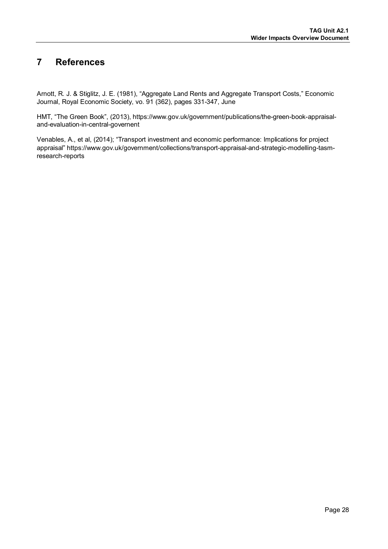## **7 References**

Arnott, R. J. & Stiglitz, J. E. (1981), "Aggregate Land Rents and Aggregate Transport Costs," Economic Journal, Royal Economic Society, vo. 91 (362), pages 331-347, June

HMT, "The Green Book", (2013), https://www.gov.uk/government/publications/the-green-book-appraisaland-evaluation-in-central-governent

Venables, A., et al, (2014); "Transport investment and economic performance: Implications for project appraisal" https://www.gov.uk/government/collections/transport-appraisal-and-strategic-modelling-tasmresearch-reports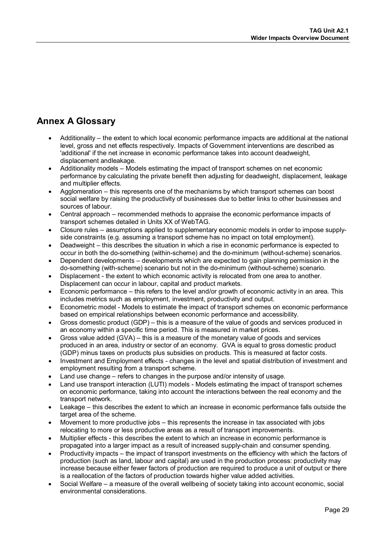## <span id="page-30-0"></span>**Annex A Glossary**

- Additionality the extent to which local economic performance impacts are additional at the national level, gross and net effects respectively. Impacts of Government interventions are described as 'additional' if the net increase in economic performance takes into account deadweight, displacement andleakage.
- Additionality models Models estimating the impact of transport schemes on net economic performance by calculating the private benefit then adjusting for deadweight, displacement, leakage and multiplier effects.
- Agglomeration this represents one of the mechanisms by which transport schemes can boost social welfare by raising the productivity of businesses due to better links to other businesses and sources of labour.
- Central approach recommended methods to appraise the economic performance impacts of transport schemes detailed in Units XX of WebTAG.
- Closure rules assumptions applied to supplementary economic models in order to impose supplyside constraints (e.g. assuming a transport scheme has no impact on total employment).
- Deadweight this describes the situation in which a rise in economic performance is expected to occur in both the do-something (within-scheme) and the do-minimum (without-scheme) scenarios.
- Dependent developments developments which are expected to gain planning permission in the do-something (with-scheme) scenario but not in the do-minimum (without-scheme) scenario.
- Displacement the extent to which economic activity is relocated from one area to another. Displacement can occur in labour, capital and product markets.
- Economic performance this refers to the level and/or growth of economic activity in an area. This includes metrics such as employment, investment, productivity and output.
- Econometric model Models to estimate the impact of transport schemes on economic performance based on empirical relationships between economic performance and accessibility.
- Gross domestic product (GDP) this is a measure of the value of goods and services produced in an economy within a specific time period. This is measured in market prices.
- Gross value added (GVA) this is a measure of the monetary value of goods and services produced in an area, industry or sector of an economy. GVA is equal to gross domestic product (GDP) minus taxes on products plus subsidies on products. This is measured at factor costs.
- Investment and Employment effects changes in the level and spatial distribution of investment and employment resulting from a transport scheme.
- Land use change refers to changes in the purpose and/or intensity of usage.
- Land use transport interaction (LUTI) models Models estimating the impact of transport schemes on economic performance, taking into account the interactions between the real economy and the transport network.
- Leakage this describes the extent to which an increase in economic performance falls outside the target area of the scheme.
- Movement to more productive jobs this represents the increase in tax associated with jobs relocating to more or less productive areas as a result of transport improvements.
- Multiplier effects this describes the extent to which an increase in economic performance is propagated into a larger impact as a result of increased supply-chain and consumer spending.
- Productivity impacts the impact of transport investments on the efficiency with which the factors of production (such as land, labour and capital) are used in the production process: productivity may increase because either fewer factors of production are required to produce a unit of output or there is a reallocation of the factors of production towards higher value added activities.
- Social Welfare a measure of the overall wellbeing of society taking into account economic, social environmental considerations.